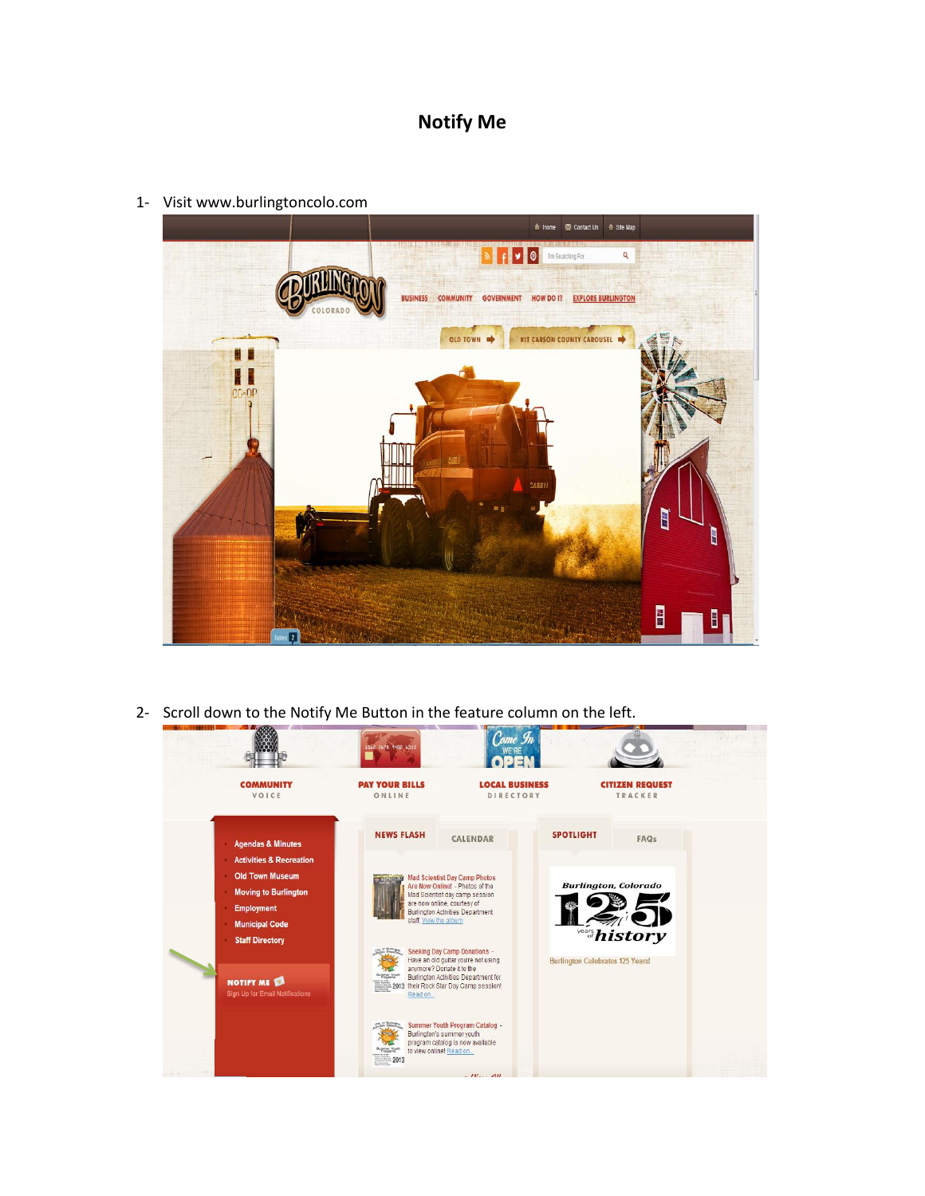## **Notify Me**

1- Visit www.burlingtoncolo.com



2- Scroll down to the Notify Me Button in the feature column on the left.

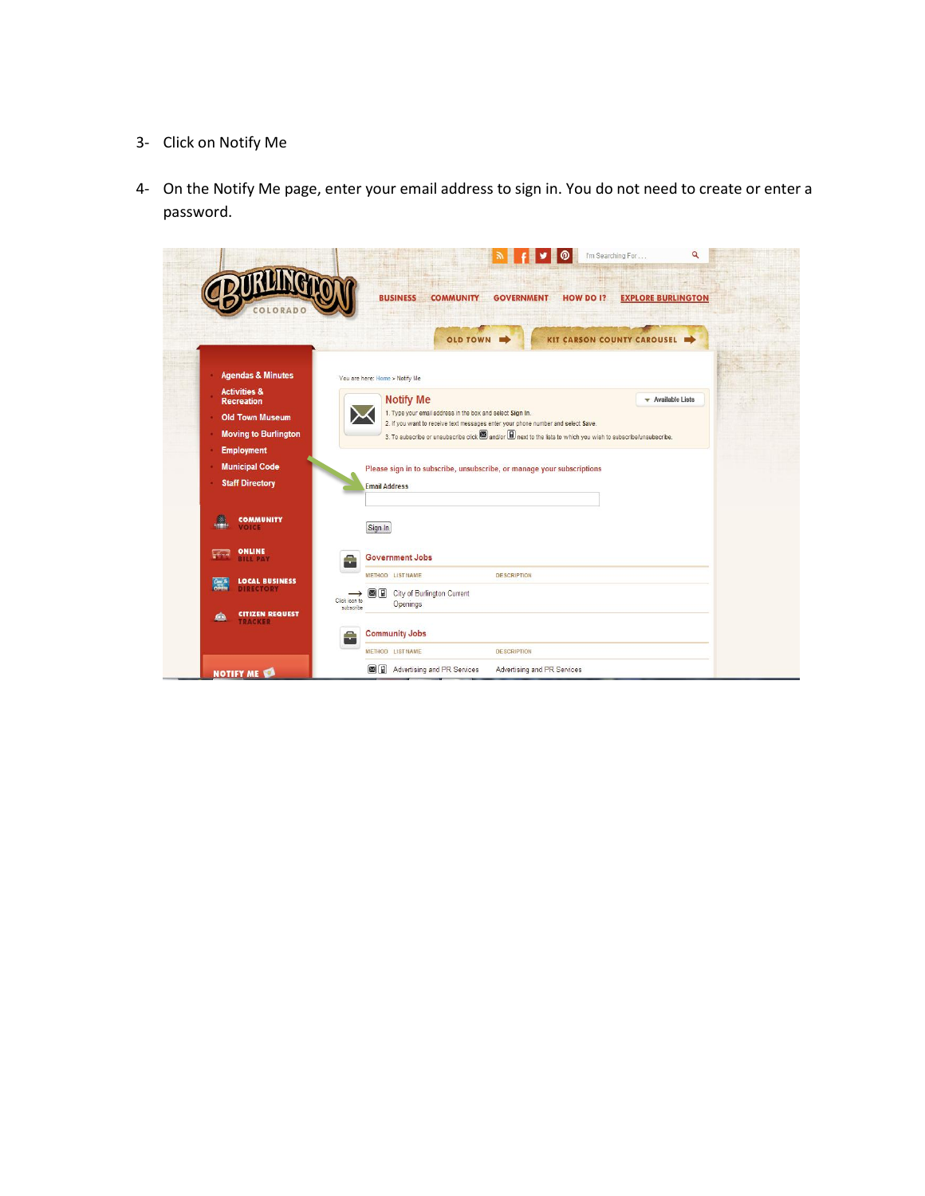## 3- Click on Notify Me

4- On the Notify Me page, enter your email address to sign in. You do not need to create or enter a password.

|                                                                                                       | <b>BUSINESS</b><br><b>COMMUNITY</b><br><b>EXPLORE BURLINGTON</b><br><b>GOVERNMENT</b><br>HOW DO I?                                                                                                                                                                                                                                          |
|-------------------------------------------------------------------------------------------------------|---------------------------------------------------------------------------------------------------------------------------------------------------------------------------------------------------------------------------------------------------------------------------------------------------------------------------------------------|
|                                                                                                       | KIT CARSON COUNTY CAROUSEL<br><b>OLD TOWN</b>                                                                                                                                                                                                                                                                                               |
| <b>Agendas &amp; Minutes</b>                                                                          | You are here: Home > Notify Me                                                                                                                                                                                                                                                                                                              |
| <b>Activities &amp;</b><br><b>Recreation</b><br><b>Old Town Museum</b><br><b>Moving to Burlington</b> | <b>Notify Me</b><br>$\blacktriangleright$ Available Lists<br>1. Type your email address in the box and select Sign In.<br>2. If you want to receive text messages enter your phone number and select Save.<br>3. To subscribe or unsubscribe click <b>3</b> and/or <b>iii</b> next to the lists to which you wish to subscribe/unsubscribe. |
| <b>Employment</b><br><b>Municipal Code</b><br><b>Staff Directory</b>                                  | Please sign in to subscribe, unsubscribe, or manage your subscriptions<br><b>Email Address</b>                                                                                                                                                                                                                                              |
| ₿.<br><b>COMMUNITY</b><br><b>VOICE</b>                                                                | Sign In                                                                                                                                                                                                                                                                                                                                     |
| <b>ONLINE</b><br>$\frac{1}{2}$                                                                        | <b>Government Jobs</b><br>Ξ                                                                                                                                                                                                                                                                                                                 |
| LOCAL BUSINESS                                                                                        | <b>METHOD LIST NAME</b><br><b>DESCRIPTION</b><br>图目<br>City of Burlington Current<br>Click icon to<br>Openings<br>subscribe                                                                                                                                                                                                                 |
| <b>CITIZEN REQUEST</b><br>$\bullet$<br><b>TRACKER</b>                                                 |                                                                                                                                                                                                                                                                                                                                             |
|                                                                                                       | <b>Community Jobs</b>                                                                                                                                                                                                                                                                                                                       |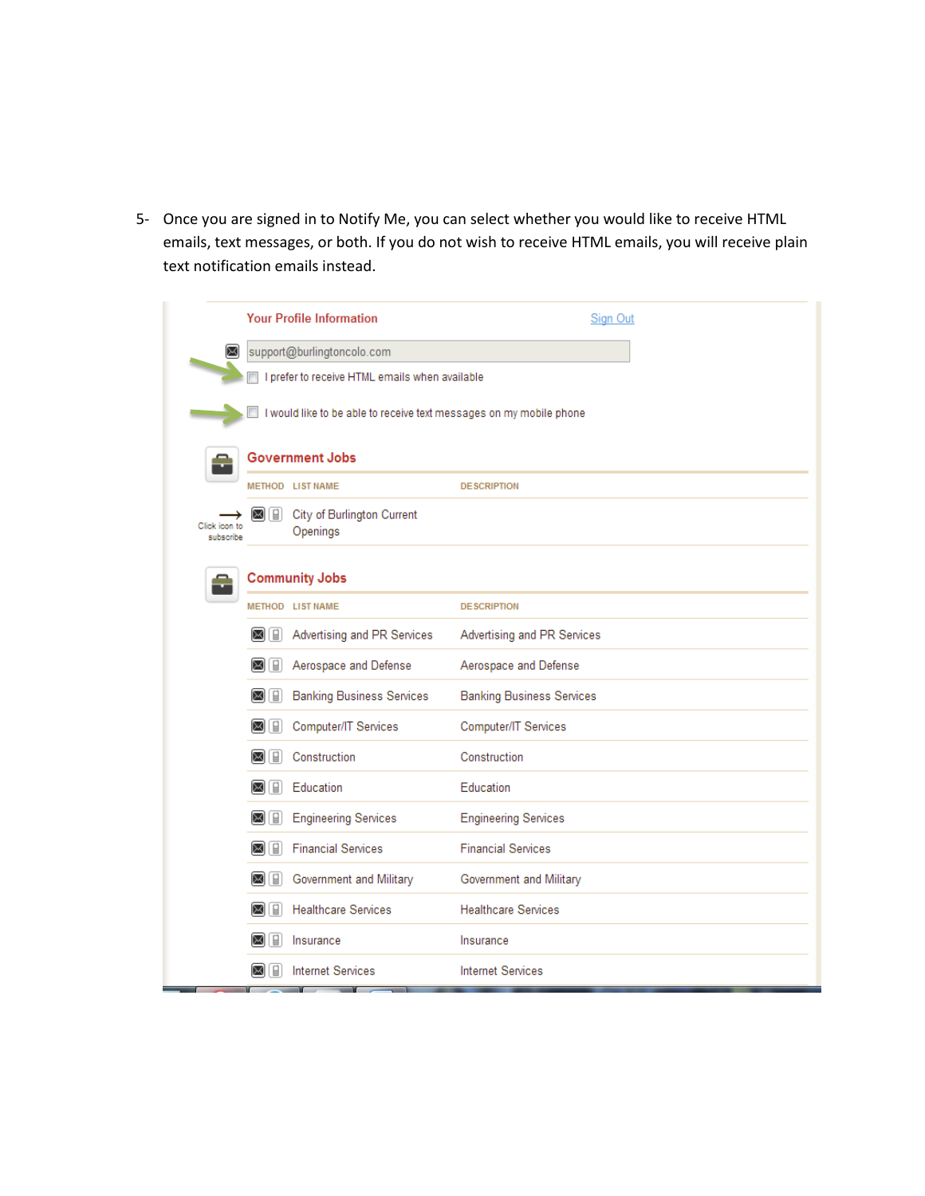5- Once you are signed in to Notify Me, you can select whether you would like to receive HTML emails, text messages, or both. If you do not wish to receive HTML emails, you will receive plain text notification emails instead.

|                                                                  | <b>Your Profile Information</b>                                     | Sign Out                         |  |  |
|------------------------------------------------------------------|---------------------------------------------------------------------|----------------------------------|--|--|
| ⊠                                                                | support@burlingtoncolo.com                                          |                                  |  |  |
|                                                                  | I prefer to receive HTML emails when available                      |                                  |  |  |
|                                                                  | I would like to be able to receive text messages on my mobile phone |                                  |  |  |
|                                                                  | <b>Government Jobs</b>                                              |                                  |  |  |
|                                                                  | METHOD LIST NAME                                                    | <b>DESCRIPTION</b>               |  |  |
| $\boxtimes$ $\boxplus$ $\parallel$<br>Click icon to<br>subscribe | City of Burlington Current<br>Openings                              |                                  |  |  |
|                                                                  | <b>Community Jobs</b>                                               |                                  |  |  |
|                                                                  | METHOD LIST NAME                                                    | <b>DESCRIPTION</b>               |  |  |
| $\boxtimes$ $\boxplus$                                           | Advertising and PR Services                                         | Advertising and PR Services      |  |  |
| $\bowtie$ $\Box$                                                 | Aerospace and Defense                                               | Aerospace and Defense            |  |  |
| $\boxtimes$ $\boxplus$                                           | <b>Banking Business Services</b>                                    | <b>Banking Business Services</b> |  |  |
| $\bowtie$ $\Box$                                                 | Computer/IT Services                                                | Computer/IT Services             |  |  |
| $\boxtimes$ $\boxtimes$                                          | Construction                                                        | Construction                     |  |  |
| $\boxtimes$ [ $\boxplus$ ]                                       | Education                                                           | Education                        |  |  |
| $\boxtimes$ $\boxplus$                                           | <b>Engineering Services</b>                                         | <b>Engineering Services</b>      |  |  |
| $\boxtimes$ [ $\Box$ ]                                           | <b>Financial Services</b>                                           | <b>Financial Services</b>        |  |  |
| $\boxtimes$ $\boxplus$                                           | Government and Military                                             | Government and Military          |  |  |
| ⊠ [∎]                                                            | <b>Healthcare Services</b>                                          | <b>Healthcare Services</b>       |  |  |
| ⊠ M                                                              | Insurance                                                           | Insurance                        |  |  |
| ⋈<br>I W                                                         | <b>Internet Services</b>                                            | <b>Internet Services</b>         |  |  |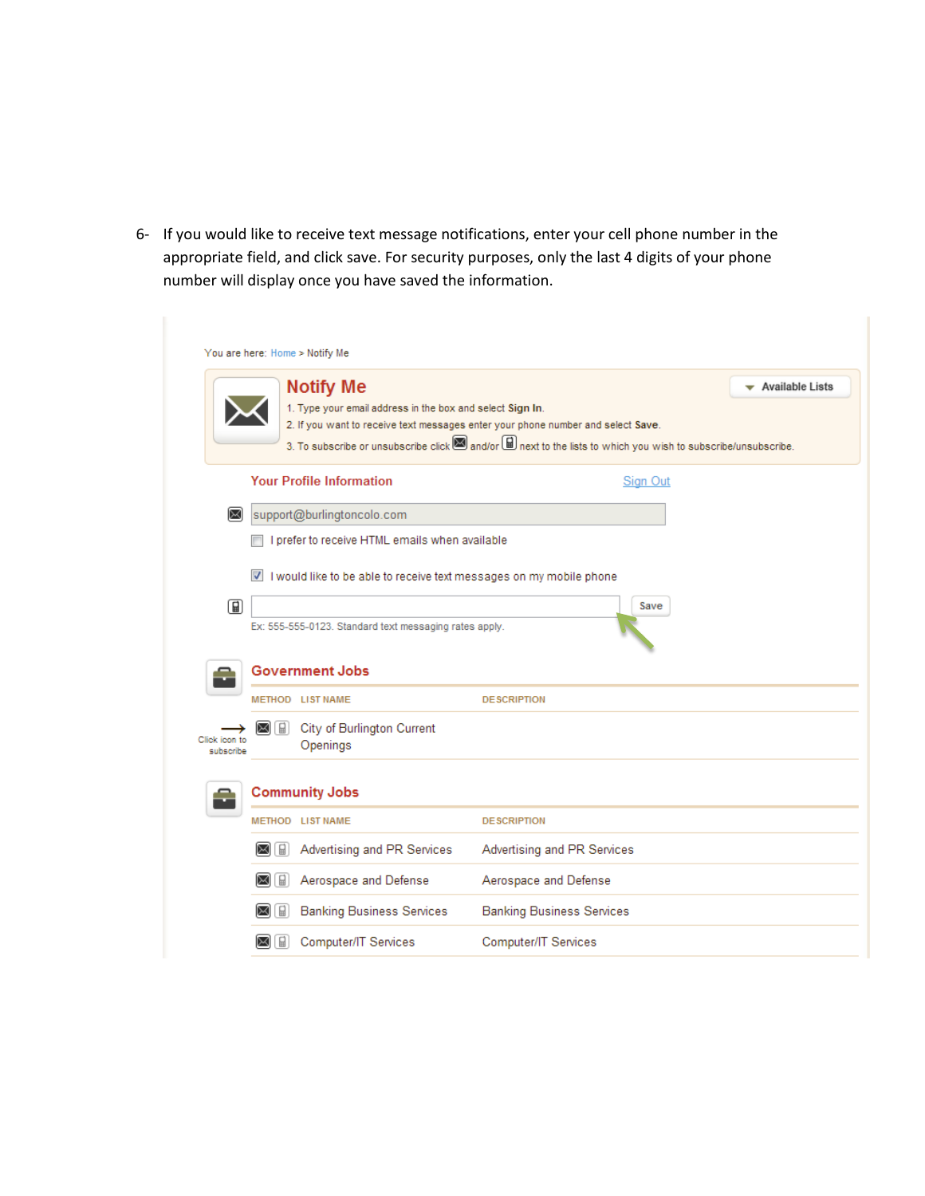6- If you would like to receive text message notifications, enter your cell phone number in the appropriate field, and click save. For security purposes, only the last 4 digits of your phone number will display once you have saved the information.

| 1. Type your email address in the box and select Sign In.<br>3. To subscribe or unsubscribe click and/or <b>a</b> next to the lists to which you wish to subscribe/unsubscribe. | 2. If you want to receive text messages enter your phone number and select Save.                                                                                                                            |                                                                                                                                                                                 |
|---------------------------------------------------------------------------------------------------------------------------------------------------------------------------------|-------------------------------------------------------------------------------------------------------------------------------------------------------------------------------------------------------------|---------------------------------------------------------------------------------------------------------------------------------------------------------------------------------|
|                                                                                                                                                                                 |                                                                                                                                                                                                             |                                                                                                                                                                                 |
|                                                                                                                                                                                 |                                                                                                                                                                                                             |                                                                                                                                                                                 |
|                                                                                                                                                                                 |                                                                                                                                                                                                             |                                                                                                                                                                                 |
| <b>Your Profile Information</b>                                                                                                                                                 | Sign Out                                                                                                                                                                                                    |                                                                                                                                                                                 |
|                                                                                                                                                                                 |                                                                                                                                                                                                             |                                                                                                                                                                                 |
|                                                                                                                                                                                 |                                                                                                                                                                                                             |                                                                                                                                                                                 |
|                                                                                                                                                                                 |                                                                                                                                                                                                             |                                                                                                                                                                                 |
|                                                                                                                                                                                 |                                                                                                                                                                                                             |                                                                                                                                                                                 |
|                                                                                                                                                                                 | Save                                                                                                                                                                                                        |                                                                                                                                                                                 |
|                                                                                                                                                                                 |                                                                                                                                                                                                             |                                                                                                                                                                                 |
|                                                                                                                                                                                 |                                                                                                                                                                                                             |                                                                                                                                                                                 |
|                                                                                                                                                                                 |                                                                                                                                                                                                             |                                                                                                                                                                                 |
|                                                                                                                                                                                 | <b>DESCRIPTION</b>                                                                                                                                                                                          |                                                                                                                                                                                 |
|                                                                                                                                                                                 |                                                                                                                                                                                                             |                                                                                                                                                                                 |
| Openings                                                                                                                                                                        |                                                                                                                                                                                                             |                                                                                                                                                                                 |
|                                                                                                                                                                                 |                                                                                                                                                                                                             |                                                                                                                                                                                 |
|                                                                                                                                                                                 |                                                                                                                                                                                                             |                                                                                                                                                                                 |
|                                                                                                                                                                                 | <b>DESCRIPTION</b>                                                                                                                                                                                          |                                                                                                                                                                                 |
|                                                                                                                                                                                 | Advertising and PR Services                                                                                                                                                                                 |                                                                                                                                                                                 |
|                                                                                                                                                                                 | Aerospace and Defense                                                                                                                                                                                       |                                                                                                                                                                                 |
|                                                                                                                                                                                 |                                                                                                                                                                                                             |                                                                                                                                                                                 |
| <b>Banking Business Services</b>                                                                                                                                                | <b>Banking Business Services</b>                                                                                                                                                                            |                                                                                                                                                                                 |
|                                                                                                                                                                                 | support@burlingtoncolo.com<br><b>Government Jobs</b><br>METHOD LIST NAME<br>City of Burlington Current<br><b>Community Jobs</b><br>METHOD LIST NAME<br>Advertising and PR Services<br>Aerospace and Defense | I prefer to receive HTML emails when available<br>I would like to be able to receive text messages on my mobile phone<br>Ex: 555-555-0123. Standard text messaging rates apply. |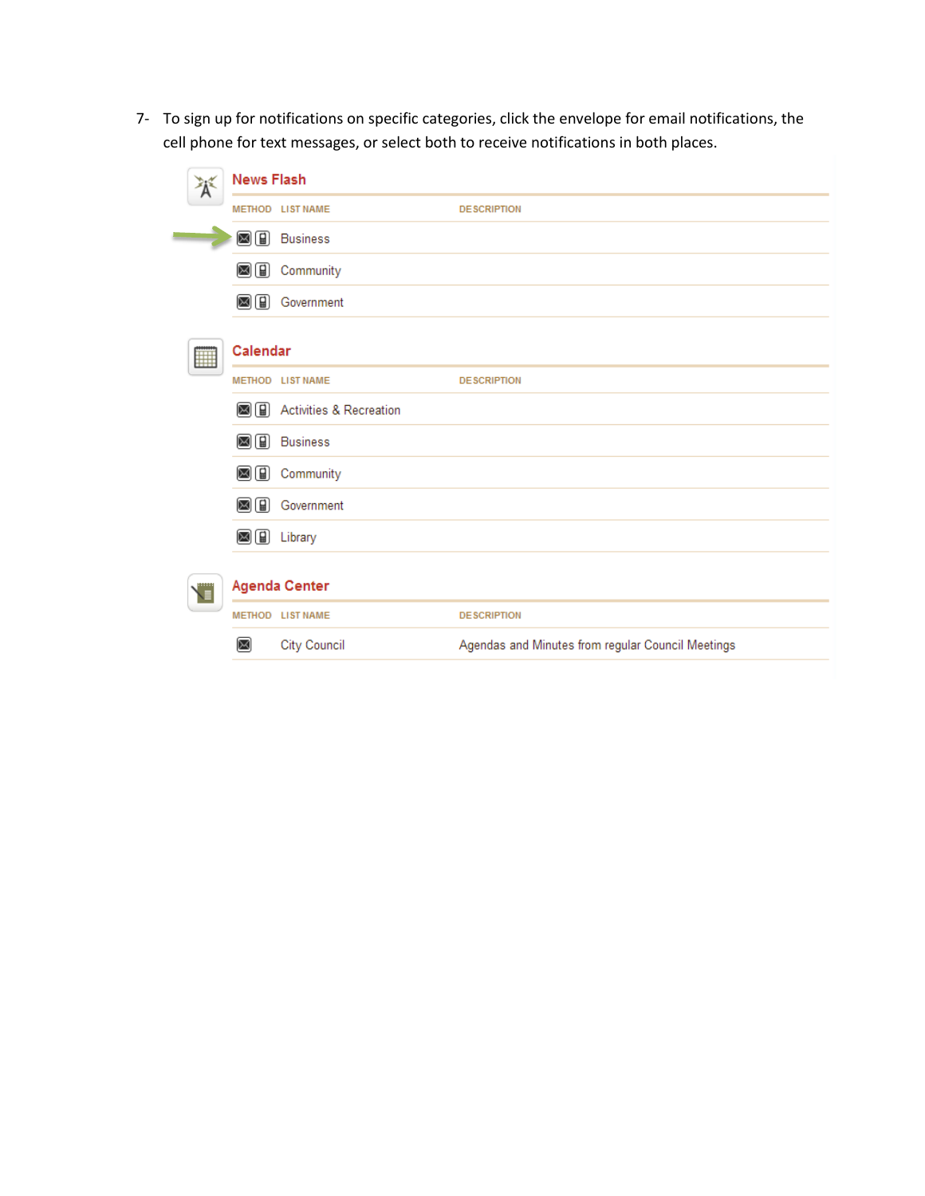7- To sign up for notifications on specific categories, click the envelope for email notifications, the cell phone for text messages, or select both to receive notifications in both places.

|   | <b>News Flash</b> |                                    |                                                   |
|---|-------------------|------------------------------------|---------------------------------------------------|
|   |                   | METHOD LIST NAME                   | <b>DESCRIPTION</b>                                |
|   | $\boxtimes$ (ii)  | <b>Business</b>                    |                                                   |
|   | ⊠⊞                | Community                          |                                                   |
|   | ⊠⊞                | Government                         |                                                   |
| ▦ | Calendar          |                                    |                                                   |
|   |                   | METHOD LIST NAME                   | <b>DESCRIPTION</b>                                |
|   | $\boxtimes$ (ii)  | <b>Activities &amp; Recreation</b> |                                                   |
|   | $\boxtimes$ (ii)  | <b>Business</b>                    |                                                   |
|   | ⊠⊞                | Community                          |                                                   |
|   | $\boxtimes$ (ii)  | Government                         |                                                   |
|   |                   | <b>⊠</b> a Library                 |                                                   |
| T |                   | <b>Agenda Center</b>               |                                                   |
|   |                   | METHOD LIST NAME                   | <b>DESCRIPTION</b>                                |
|   | ⋈                 | <b>City Council</b>                | Agendas and Minutes from regular Council Meetings |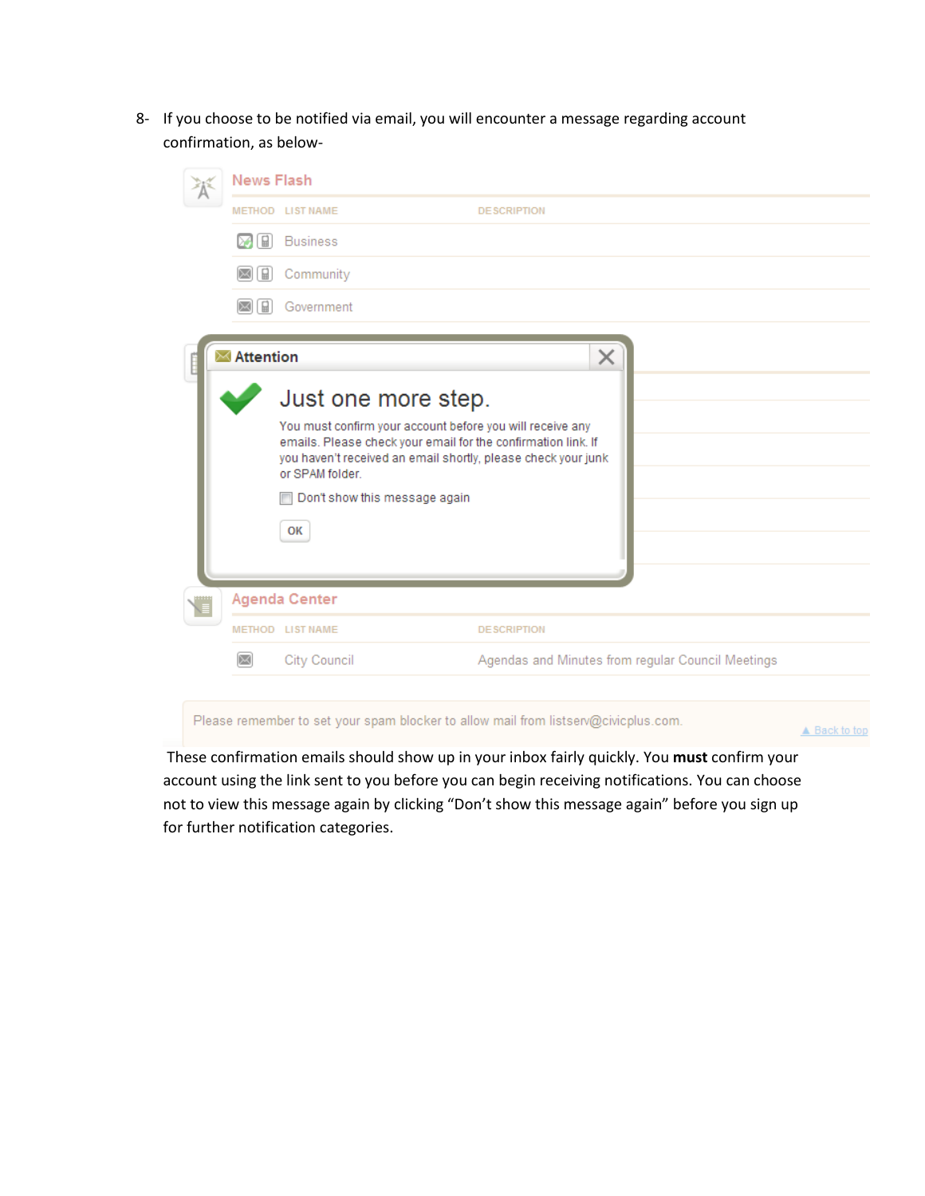8- If you choose to be notified via email, you will encounter a message regarding account confirmation, as below-

| <b>News Flash</b>                                                  |                                                                                                                                                                                                                                       |                    |   |                                                   |  |
|--------------------------------------------------------------------|---------------------------------------------------------------------------------------------------------------------------------------------------------------------------------------------------------------------------------------|--------------------|---|---------------------------------------------------|--|
|                                                                    | METHOD LIST NAME                                                                                                                                                                                                                      | <b>DESCRIPTION</b> |   |                                                   |  |
| $\Box$                                                             | <b>Business</b>                                                                                                                                                                                                                       |                    |   |                                                   |  |
| $\begin{matrix} 1 \\ 0 \\ 0 \\ 0 \\ 0 \\ 0 \\ 0 \\ 0 \end{matrix}$ | Community                                                                                                                                                                                                                             |                    |   |                                                   |  |
| ₩                                                                  | Government                                                                                                                                                                                                                            |                    |   |                                                   |  |
| $\blacksquare$ Attention                                           |                                                                                                                                                                                                                                       |                    | × |                                                   |  |
|                                                                    | Just one more step.<br>You must confirm your account before you will receive any<br>emails. Please check your email for the confirmation link. If<br>you haven't received an email shortly, please check your junk<br>or SPAM folder. |                    |   |                                                   |  |
|                                                                    |                                                                                                                                                                                                                                       |                    |   |                                                   |  |
|                                                                    | Don't show this message again                                                                                                                                                                                                         |                    |   |                                                   |  |
|                                                                    | OK                                                                                                                                                                                                                                    |                    |   |                                                   |  |
|                                                                    |                                                                                                                                                                                                                                       |                    |   |                                                   |  |
| <b>Agenda Center</b>                                               |                                                                                                                                                                                                                                       |                    |   |                                                   |  |
|                                                                    | METHOD LIST NAME                                                                                                                                                                                                                      | <b>DESCRIPTION</b> |   |                                                   |  |
|                                                                    | City Council                                                                                                                                                                                                                          |                    |   | Agendas and Minutes from regular Council Meetings |  |
|                                                                    |                                                                                                                                                                                                                                       |                    |   |                                                   |  |

Please remember to set your spam blocker to allow mail from listserv@civicplus.com.

▲ Back to top

These confirmation emails should show up in your inbox fairly quickly. You **must** confirm your account using the link sent to you before you can begin receiving notifications. You can choose not to view this message again by clicking "Don't show this message again" before you sign up for further notification categories.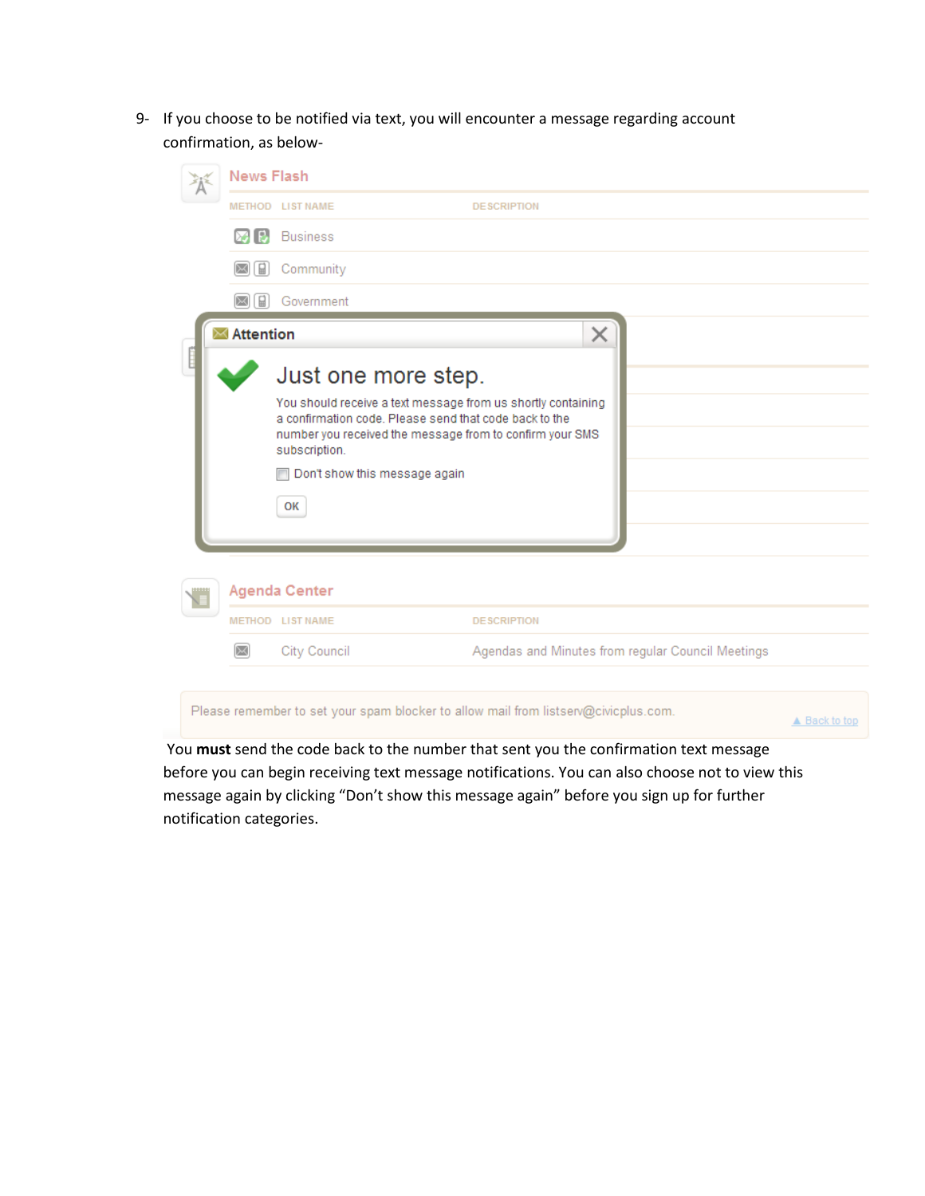9- If you choose to be notified via text, you will encounter a message regarding account confirmation, as below-

| <b>News Flash</b>        |                                                                                                                                                                                                                                                                                                                       |                                                                                     |  |
|--------------------------|-----------------------------------------------------------------------------------------------------------------------------------------------------------------------------------------------------------------------------------------------------------------------------------------------------------------------|-------------------------------------------------------------------------------------|--|
|                          | METHOD LIST NAME                                                                                                                                                                                                                                                                                                      | <b>DESCRIPTION</b>                                                                  |  |
|                          | <b>MID</b> Business                                                                                                                                                                                                                                                                                                   |                                                                                     |  |
| $\Box$                   | Community                                                                                                                                                                                                                                                                                                             |                                                                                     |  |
| 딞                        | Government                                                                                                                                                                                                                                                                                                            |                                                                                     |  |
| $\blacksquare$ Attention |                                                                                                                                                                                                                                                                                                                       | ×                                                                                   |  |
|                          | Just one more step.<br>You should receive a text message from us shortly containing<br>a confirmation code. Please send that code back to the<br>number you received the message from to confirm your SMS<br>subscription.<br>Don't show this message again<br>$\overline{\phantom{a}}$<br>OK<br><b>Agenda Center</b> |                                                                                     |  |
|                          | METHOD LIST NAME                                                                                                                                                                                                                                                                                                      | <b>DESCRIPTION</b>                                                                  |  |
| ⋉                        | City Council                                                                                                                                                                                                                                                                                                          | Agendas and Minutes from regular Council Meetings                                   |  |
|                          |                                                                                                                                                                                                                                                                                                                       | Please remember to set your spam blocker to allow mail from listserv@civicplus.com. |  |

You **must** send the code back to the number that sent you the confirmation text message before you can begin receiving text message notifications. You can also choose not to view this message again by clicking "Don't show this message again" before you sign up for further notification categories.

▲ Back to top